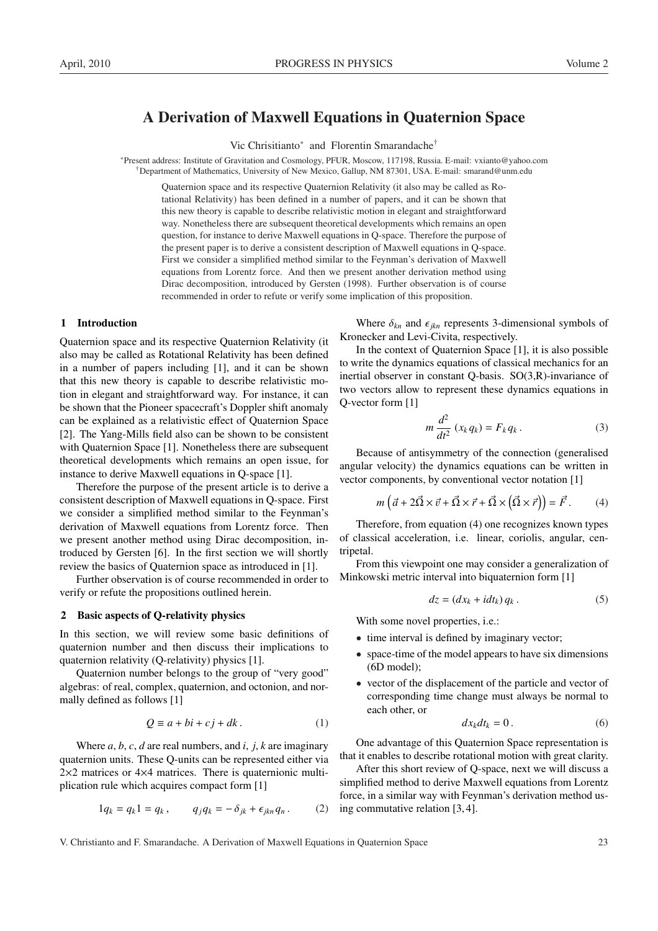# A Derivation of Maxwell Equations in Quaternion Space

Vic Chrisitianto<sup>∗</sup> and Florentin Smarandache†

<sup>∗</sup>Present address: Institute of Gravitation and Cosmology, PFUR, Moscow, 117198, Russia. E-mail: vxianto@yahoo.com †Department of Mathematics, University of New Mexico, Gallup, NM 87301, USA. E-mail: smarand@unm.edu

Quaternion space and its respective Quaternion Relativity (it also may be called as Rotational Relativity) has been defined in a number of papers, and it can be shown that this new theory is capable to describe relativistic motion in elegant and straightforward way. Nonetheless there are subsequent theoretical developments which remains an open question, for instance to derive Maxwell equations in Q-space. Therefore the purpose of the present paper is to derive a consistent description of Maxwell equations in Q-space. First we consider a simplified method similar to the Feynman's derivation of Maxwell equations from Lorentz force. And then we present another derivation method using Dirac decomposition, introduced by Gersten (1998). Further observation is of course recommended in order to refute or verify some implication of this proposition.

### 1 Introduction

Quaternion space and its respective Quaternion Relativity (it also may be called as Rotational Relativity has been defined in a number of papers including [1], and it can be shown that this new theory is capable to describe relativistic motion in elegant and straightforward way. For instance, it can be shown that the Pioneer spacecraft's Doppler shift anomaly can be explained as a relativistic effect of Quaternion Space [2]. The Yang-Mills field also can be shown to be consistent with Quaternion Space [1]. Nonetheless there are subsequent theoretical developments which remains an open issue, for instance to derive Maxwell equations in Q-space [1].

Therefore the purpose of the present article is to derive a consistent description of Maxwell equations in Q-space. First we consider a simplified method similar to the Feynman's derivation of Maxwell equations from Lorentz force. Then we present another method using Dirac decomposition, introduced by Gersten [6]. In the first section we will shortly review the basics of Quaternion space as introduced in [1].

Further observation is of course recommended in order to verify or refute the propositions outlined herein.

### 2 Basic aspects of Q-relativity physics

In this section, we will review some basic definitions of quaternion number and then discuss their implications to quaternion relativity (Q-relativity) physics [1].

Quaternion number belongs to the group of "very good" algebras: of real, complex, quaternion, and octonion, and normally defined as follows [1]

$$
Q \equiv a + bi + cj + dk. \tag{1}
$$

Where *a*, *b*, *c*, *d* are real numbers, and *i*, *j*, *k* are imaginary quaternion units. These Q-units can be represented either via 2×2 matrices or 4×4 matrices. There is quaternionic multiplication rule which acquires compact form [1]

$$
1q_k = q_k 1 = q_k, \qquad q_j q_k = -\delta_{jk} + \epsilon_{jkn} q_n. \tag{2}
$$

Where  $\delta_{kn}$  and  $\epsilon_{ikn}$  represents 3-dimensional symbols of Kronecker and Levi-Civita, respectively.

In the context of Quaternion Space [1], it is also possible to write the dynamics equations of classical mechanics for an inertial observer in constant Q-basis. SO(3,R)-invariance of two vectors allow to represent these dynamics equations in Q-vector form [1]

$$
m\frac{d^2}{dt^2}(x_k q_k) = F_k q_k.
$$
 (3)

Because of antisymmetry of the connection (generalised angular velocity) the dynamics equations can be written in vector components, by conventional vector notation [1]

$$
m\left(\vec{a} + 2\vec{\Omega} \times \vec{v} + \vec{\Omega} \times \vec{r} + \vec{\Omega} \times (\vec{\Omega} \times \vec{r})\right) = \vec{F}.
$$
 (4)

Therefore, from equation (4) one recognizes known types of classical acceleration, i.e. linear, coriolis, angular, centripetal.

From this viewpoint one may consider a generalization of Minkowski metric interval into biquaternion form [1]

$$
dz = (dx_k + i dt_k) q_k.
$$
 (5)

With some novel properties, i.e.:

- time interval is defined by imaginary vector;
- space-time of the model appears to have six dimensions (6D model);
- vector of the displacement of the particle and vector of corresponding time change must always be normal to each other, or

$$
dx_k dt_k = 0.
$$
 (6)

One advantage of this Quaternion Space representation is that it enables to describe rotational motion with great clarity.

After this short review of Q-space, next we will discuss a simplified method to derive Maxwell equations from Lorentz force, in a similar way with Feynman's derivation method using commutative relation [3, 4].

V. Christianto and F. Smarandache. A Derivation of Maxwell Equations in Quaternion Space 23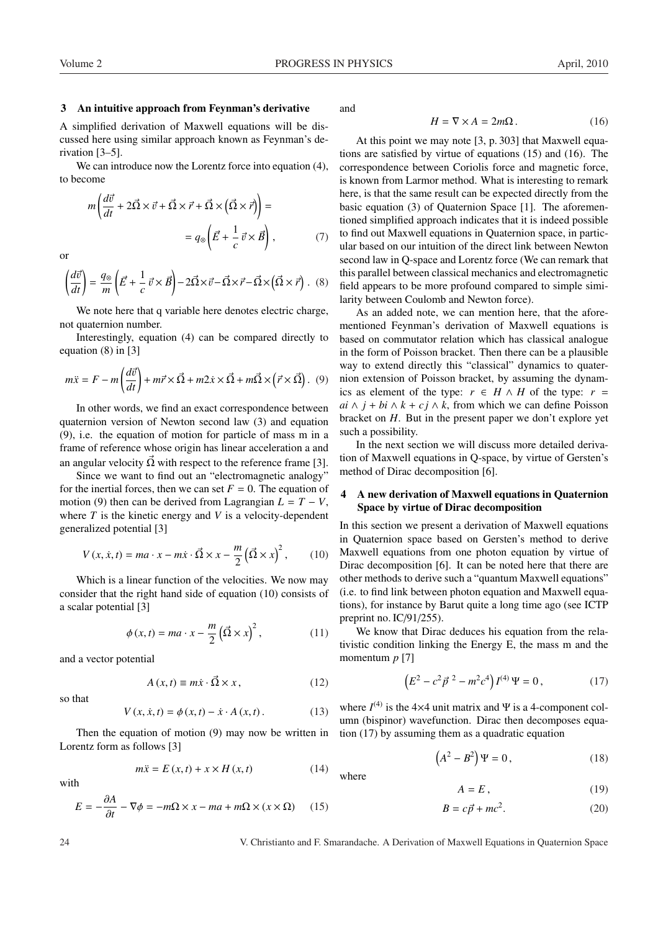### 3 An intuitive approach from Feynman's derivative

A simplified derivation of Maxwell equations will be discussed here using similar approach known as Feynman's derivation [3–5].

We can introduce now the Lorentz force into equation (4), to become

$$
m\left(\frac{d\vec{v}}{dt} + 2\vec{\Omega} \times \vec{v} + \vec{\Omega} \times \vec{r} + \vec{\Omega} \times (\vec{\Omega} \times \vec{r})\right) =
$$
  
=  $q_{\otimes} \left(\vec{E} + \frac{1}{c} \vec{v} \times \vec{B}\right),$  (7)

or

$$
\left(\frac{d\vec{v}}{dt}\right) = \frac{q_{\otimes}}{m} \left(\vec{E} + \frac{1}{c}\,\vec{v} \times \vec{B}\right) - 2\vec{\Omega} \times \vec{v} - \vec{\Omega} \times \vec{r} - \vec{\Omega} \times \left(\vec{\Omega} \times \vec{r}\right). \tag{8}
$$

We note here that q variable here denotes electric charge, not quaternion number.

Interestingly, equation (4) can be compared directly to equation (8) in [3]

$$
m\ddot{x} = F - m\left(\frac{d\vec{v}}{dt}\right) + m\vec{r} \times \vec{\Omega} + m2\dot{x} \times \vec{\Omega} + m\vec{\Omega} \times (\vec{r} \times \vec{\Omega}).
$$
 (9)

In other words, we find an exact correspondence between quaternion version of Newton second law (3) and equation (9), i.e. the equation of motion for particle of mass m in a frame of reference whose origin has linear acceleration a and an angular velocity  $\vec{\Omega}$  with respect to the reference frame [3].

Since we want to find out an "electromagnetic analogy" for the inertial forces, then we can set  $F = 0$ . The equation of motion (9) then can be derived from Lagrangian  $L = T - V$ , where *T* is the kinetic energy and *V* is a velocity-dependent generalized potential [3]

$$
V(x, \dot{x}, t) = ma \cdot x - m\dot{x} \cdot \vec{\Omega} \times x - \frac{m}{2} (\vec{\Omega} \times x)^2, \qquad (10)
$$

Which is a linear function of the velocities. We now may consider that the right hand side of equation (10) consists of a scalar potential [3]

$$
\phi(x,t) = ma \cdot x - \frac{m}{2} (\vec{\Omega} \times x)^2, \qquad (11)
$$

and a vector potential

$$
A(x,t) \equiv m\dot{x} \cdot \vec{\Omega} \times x, \qquad (12)
$$

so that

$$
V(x, \dot{x}, t) = \phi(x, t) - \dot{x} \cdot A(x, t).
$$
 (13)

Then the equation of motion (9) may now be written in Lorentz form as follows [3]

$$
m\ddot{x} = E(x, t) + x \times H(x, t) \tag{14}
$$

with

$$
E = -\frac{\partial A}{\partial t} - \nabla \phi = -m\Omega \times x - ma + m\Omega \times (x \times \Omega) \tag{15}
$$

and

$$
H = \nabla \times A = 2m\Omega.
$$
 (16)

At this point we may note [3, p. 303] that Maxwell equations are satisfied by virtue of equations (15) and (16). The correspondence between Coriolis force and magnetic force, is known from Larmor method. What is interesting to remark here, is that the same result can be expected directly from the basic equation (3) of Quaternion Space [1]. The aforementioned simplified approach indicates that it is indeed possible to find out Maxwell equations in Quaternion space, in particular based on our intuition of the direct link between Newton second law in Q-space and Lorentz force (We can remark that this parallel between classical mechanics and electromagnetic field appears to be more profound compared to simple similarity between Coulomb and Newton force).

As an added note, we can mention here, that the aforementioned Feynman's derivation of Maxwell equations is based on commutator relation which has classical analogue in the form of Poisson bracket. Then there can be a plausible way to extend directly this "classical" dynamics to quaternion extension of Poisson bracket, by assuming the dynamics as element of the type:  $r \in H \wedge H$  of the type:  $r =$ *ai* ∧ *j* + *bi* ∧ *k* + *cj* ∧ *k*, from which we can define Poisson bracket on *H*. But in the present paper we don't explore yet such a possibility.

In the next section we will discuss more detailed derivation of Maxwell equations in Q-space, by virtue of Gersten's method of Dirac decomposition [6].

## 4 A new derivation of Maxwell equations in Quaternion Space by virtue of Dirac decomposition

In this section we present a derivation of Maxwell equations in Quaternion space based on Gersten's method to derive Maxwell equations from one photon equation by virtue of Dirac decomposition [6]. It can be noted here that there are other methods to derive such a "quantum Maxwell equations" (i.e. to find link between photon equation and Maxwell equations), for instance by Barut quite a long time ago (see ICTP preprint no. IC/91/255).

We know that Dirac deduces his equation from the relativistic condition linking the Energy E, the mass m and the momentum *p* [7]

$$
\left(E^2 - c^2 \vec{p}^2 - m^2 c^4\right) I^{(4)} \Psi = 0, \qquad (17)
$$

where  $I^{(4)}$  is the 4×4 unit matrix and  $\Psi$  is a 4-component column (bispinor) wavefunction. Dirac then decomposes equation (17) by assuming them as a quadratic equation

$$
(A2 - B2) \Psi = 0, \qquad (18)
$$

$$
A = E, \tag{19}
$$

$$
B = c\vec{p} + mc^2. \tag{20}
$$

24 V. Christianto and F. Smarandache. A Derivation of Maxwell Equations in Quaternion Space

where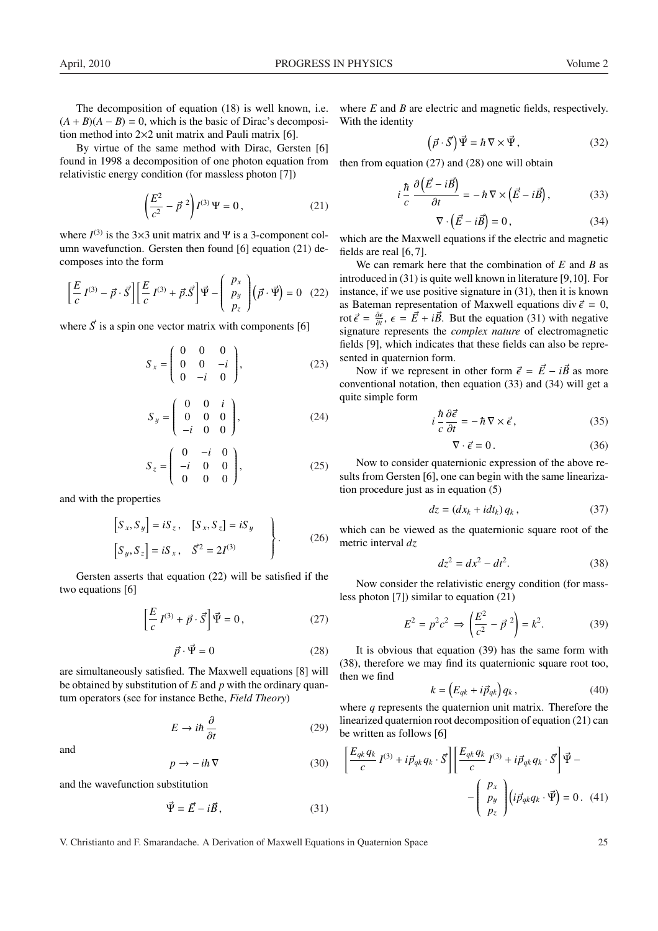By virtue of the same method with Dirac, Gersten [6] found in 1998 a decomposition of one photon equation from relativistic energy condition (for massless photon [7])

$$
\left(\frac{E^2}{c^2} - \vec{p}^2\right) I^{(3)} \Psi = 0, \qquad (21)
$$

where  $I^{(3)}$  is the 3×3 unit matrix and  $\Psi$  is a 3-component column wavefunction. Gersten then found [6] equation (21) decomposes into the form  $\overline{1}$  $\overline{a}$ 

$$
\left[\frac{E}{c}I^{(3)} - \vec{p} \cdot \vec{S}\right] \left[\frac{E}{c}I^{(3)} + \vec{p} \cdot \vec{S}\right] \vec{\Psi} - \begin{pmatrix} p_x \\ p_y \\ p_z \end{pmatrix} (\vec{p} \cdot \vec{\Psi}) = 0 \quad (22)
$$

where  $\vec{S}$  is a spin one vector matrix with components [6]

$$
S_x = \begin{pmatrix} 0 & 0 & 0 \\ 0 & 0 & -i \\ 0 & -i & 0 \end{pmatrix},
$$
 (23)

$$
S_y = \begin{pmatrix} 0 & 0 & i \\ 0 & 0 & 0 \\ -i & 0 & 0 \end{pmatrix}, \tag{24}
$$

$$
S_z = \begin{pmatrix} 0 & -i & 0 \\ -i & 0 & 0 \\ 0 & 0 & 0 \end{pmatrix},
$$
 (25)

and with the properties

$$
\begin{bmatrix} S_x, S_y \end{bmatrix} = iS_z, \quad [S_x, S_z] = iS_y
$$
  

$$
\begin{bmatrix} S_y, S_z \end{bmatrix} = iS_x, \quad \vec{S}^2 = 2I^{(3)}
$$
 (26)

Gersten asserts that equation (22) will be satisfied if the two equations [6]

$$
\left[\frac{E}{c}I^{(3)} + \vec{p} \cdot \vec{S}\right]\vec{\Psi} = 0, \qquad (27)
$$

$$
\vec{p} \cdot \vec{\Psi} = 0 \tag{28}
$$

are simultaneously satisfied. The Maxwell equations [8] will be obtained by substitution of *E* and *p* with the ordinary quantum operators (see for instance Bethe, *Field Theory*)

$$
E \to i\hbar \frac{\partial}{\partial t} \tag{29}
$$

and

$$
p \to -ih \, \nabla \tag{30}
$$

and the wavefunction substitution

$$
\vec{\Psi} = \vec{E} - i\vec{B},\qquad(31)
$$

where *E* and *B* are electric and magnetic fields, respectively. With the identity  $\overline{1}$ 

$$
\vec{p} \cdot \vec{S} \bigg( \vec{\Psi} = \hbar \nabla \times \vec{\Psi}, \qquad (32)
$$

then from equation (27) and (28) one will obtain

$$
i\frac{\hbar}{c}\frac{\partial(\vec{E}-i\vec{B})}{\partial t} = -\hbar\nabla\times(\vec{E}-i\vec{B}),\qquad(33)
$$

$$
\nabla \cdot \left(\vec{E} - i\vec{B}\right) = 0,\t(34)
$$

which are the Maxwell equations if the electric and magnetic fields are real [6, 7].

We can remark here that the combination of *E* and *B* as introduced in (31) is quite well known in literature [9,10]. For instance, if we use positive signature in (31), then it is known as Bateman representation of Maxwell equations div  $\vec{\epsilon} = 0$ , rot  $\vec{\epsilon} = \frac{\partial \epsilon}{\partial t}$ ,  $\epsilon = \vec{E} + i\vec{B}$ . But the equation (31) with negative signature represents the *complex nature* of electromagnetic fields [9], which indicates that these fields can also be represented in quaternion form.

Now if we represent in other form  $\vec{\epsilon} = \vec{E} - i\vec{B}$  as more conventional notation, then equation (33) and (34) will get a quite simple form

$$
i\frac{\hbar}{c}\frac{\partial\vec{\epsilon}}{\partial t} = -\hbar\nabla\times\vec{\epsilon},\qquad(35)
$$

$$
\nabla \cdot \vec{\epsilon} = 0. \tag{36}
$$

Now to consider quaternionic expression of the above results from Gersten [6], one can begin with the same linearization procedure just as in equation (5)

$$
dz = (dx_k + idt_k) q_k, \qquad (37)
$$

which can be viewed as the quaternionic square root of the metric interval *dz*

$$
dz^2 = dx^2 - dt^2.
$$
 (38)

Now consider the relativistic energy condition (for massless photon [7]) similar to equation (21)

$$
E^{2} = p^{2}c^{2} \Rightarrow \left(\frac{E^{2}}{c^{2}} - \vec{p}^{2}\right) = k^{2}.
$$
 (39)

It is obvious that equation (39) has the same form with (38), therefore we may find its quaternionic square root too, then we find  $\overline{a}$ 

$$
k = \left(E_{qk} + i\vec{p}_{qk}\right)q_k, \qquad (40)
$$

where *q* represents the quaternion unit matrix. Therefore the linearized quaternion root decomposition of equation (21) can be written as follows [6]

$$
\left[\frac{E_{qk}q_k}{c}I^{(3)} + i\vec{p}_{qk}q_k \cdot \vec{S}\right] \left[\frac{E_{qk}q_k}{c}I^{(3)} + i\vec{p}_{qk}q_k \cdot \vec{S}\right] \vec{\Psi} - \left(\begin{array}{c} p_x \\ p_y \\ p_z \end{array}\right) \left(i\vec{p}_{qk}q_k \cdot \vec{\Psi}\right) = 0. \tag{41}
$$

V. Christianto and F. Smarandache. A Derivation of Maxwell Equations in Quaternion Space 25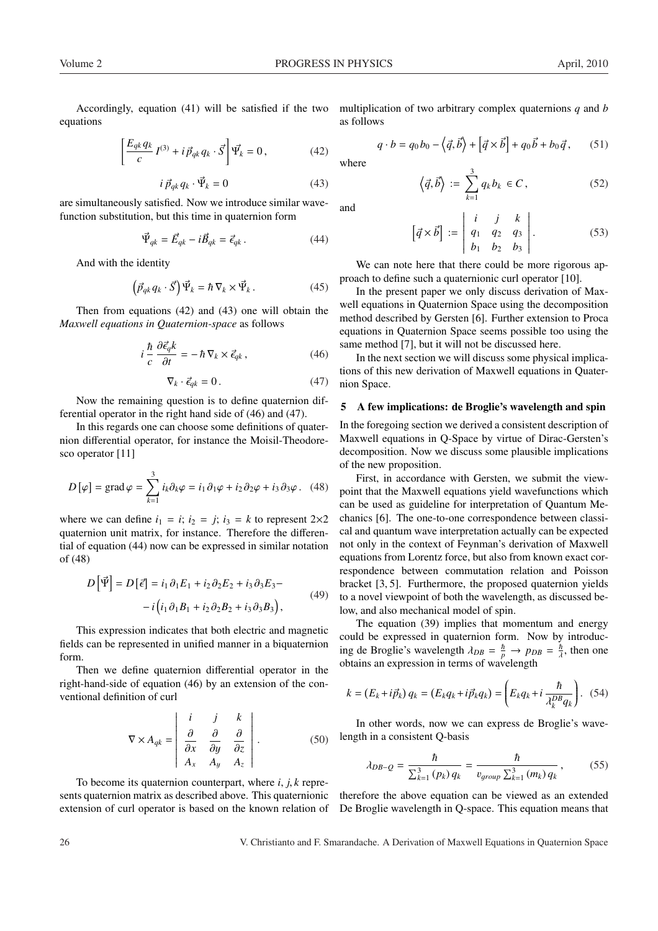Accordingly, equation (41) will be satisfied if the two equations

$$
\left[\frac{E_{qk}q_k}{c}I^{(3)} + i\vec{p}_{qk}q_k \cdot \vec{S}\right]\vec{\Psi_k} = 0, \qquad (42)
$$

$$
i\,\vec{p}_{qk}\,q_k\cdot\vec{\Psi}_k=0\tag{43}
$$

are simultaneously satisfied. Now we introduce similar wavefunction substitution, but this time in quaternion form

$$
\vec{\Psi}_{qk} = \vec{E}_{qk} - i\vec{B}_{qk} = \vec{\epsilon}_{qk}.
$$
\n(44)

And with the identity

$$
\left(\vec{p}_{qk}q_k \cdot \vec{S}\right)\vec{\Psi}_k = \hbar \,\nabla_k \times \vec{\Psi}_k. \tag{45}
$$

Then from equations (42) and (43) one will obtain the *Maxwell equations in Quaternion-space* as follows

$$
i\,\frac{\hbar}{c}\,\frac{\partial\vec{\epsilon}_{q}k}{\partial t} = -\,\hbar\,\nabla_{k}\times\vec{\epsilon}_{qk}\,,\tag{46}
$$

$$
\nabla_k \cdot \vec{\epsilon}_{qk} = 0. \tag{47}
$$

Now the remaining question is to define quaternion differential operator in the right hand side of (46) and (47).

In this regards one can choose some definitions of quaternion differential operator, for instance the Moisil-Theodoresco operator [11]

$$
D[\varphi] = \text{grad}\,\varphi = \sum_{k=1}^{3} i_k \partial_k \varphi = i_1 \partial_1 \varphi + i_2 \partial_2 \varphi + i_3 \partial_3 \varphi. \tag{48}
$$

where we can define  $i_1 = i$ ;  $i_2 = j$ ;  $i_3 = k$  to represent  $2 \times 2$ quaternion unit matrix, for instance. Therefore the differential of equation (44) now can be expressed in similar notation of (48)

$$
D\left[\vec{\Psi}\right] = D\left[\vec{\epsilon}\right] = i_1 \partial_1 E_1 + i_2 \partial_2 E_2 + i_3 \partial_3 E_3 - i\left(i_1 \partial_1 B_1 + i_2 \partial_2 B_2 + i_3 \partial_3 B_3\right),\tag{49}
$$

This expression indicates that both electric and magnetic fields can be represented in unified manner in a biquaternion form.

Then we define quaternion differential operator in the right-hand-side of equation (46) by an extension of the conventional definition of curl

$$
\nabla \times A_{qk} = \begin{vmatrix} i & j & k \\ \frac{\partial}{\partial x} & \frac{\partial}{\partial y} & \frac{\partial}{\partial z} \\ A_x & A_y & A_z \end{vmatrix} .
$$
 (50)

To become its quaternion counterpart, where *i*, *j*, *k* represents quaternion matrix as described above. This quaternionic extension of curl operator is based on the known relation of multiplication of two arbitrary complex quaternions *q* and *b* as follows

$$
q \cdot b = q_0 b_0 - \langle \vec{q}, \vec{b} \rangle + [\vec{q} \times \vec{b}] + q_0 \vec{b} + b_0 \vec{q}, \qquad (51)
$$

where

and

$$
\left\langle \vec{q}, \vec{b} \right\rangle := \sum_{k=1}^{3} q_k b_k \in C, \tag{52}
$$

$$
\begin{bmatrix} \vec{q} \times \vec{b} \end{bmatrix} := \begin{vmatrix} i & j & k \\ q_1 & q_2 & q_3 \\ b_1 & b_2 & b_3 \end{vmatrix}.
$$
 (53)

We can note here that there could be more rigorous approach to define such a quaternionic curl operator [10].

In the present paper we only discuss derivation of Maxwell equations in Quaternion Space using the decomposition method described by Gersten [6]. Further extension to Proca equations in Quaternion Space seems possible too using the same method [7], but it will not be discussed here.

In the next section we will discuss some physical implications of this new derivation of Maxwell equations in Quaternion Space.

### 5 A few implications: de Broglie's wavelength and spin

In the foregoing section we derived a consistent description of Maxwell equations in Q-Space by virtue of Dirac-Gersten's decomposition. Now we discuss some plausible implications of the new proposition.

First, in accordance with Gersten, we submit the viewpoint that the Maxwell equations yield wavefunctions which can be used as guideline for interpretation of Quantum Mechanics [6]. The one-to-one correspondence between classical and quantum wave interpretation actually can be expected not only in the context of Feynman's derivation of Maxwell equations from Lorentz force, but also from known exact correspondence between commutation relation and Poisson bracket [3, 5]. Furthermore, the proposed quaternion yields to a novel viewpoint of both the wavelength, as discussed below, and also mechanical model of spin.

The equation (39) implies that momentum and energy could be expressed in quaternion form. Now by introducing de Broglie's wavelength  $\lambda_{DB} = \frac{\hbar}{p} \rightarrow p_{DB} = \frac{\hbar}{\lambda}$ , then one obtains an expression in terms of wavelength

$$
k = (E_k + i\vec{p}_k) q_k = (E_k q_k + i\vec{p}_k q_k) = \left(E_k q_k + i\frac{\hbar}{\lambda_k^{DB} q_k}\right).
$$
 (54)

In other words, now we can express de Broglie's wavelength in a consistent Q-basis

$$
\lambda_{DB-Q} = \frac{\hbar}{\sum_{k=1}^{3} (p_k) q_k} = \frac{\hbar}{v_{group} \sum_{k=1}^{3} (m_k) q_k},
$$
(55)

therefore the above equation can be viewed as an extended De Broglie wavelength in Q-space. This equation means that